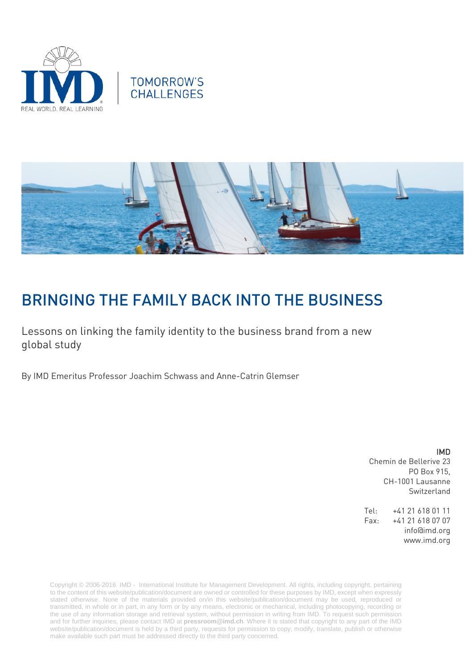





# BRINGING THE FAMILY BACK INTO THE BUSINESS

Lessons on linking the family identity to the business brand from a new global study

By IMD Emeritus Professor Joachim Schwass and Anne-Catrin Glemser

IMD Chemin de Bellerive 23 PO Box 915, CH-1001 Lausanne

Switzerland

Tel: +41 21 618 01 11 Fax: +41 21 618 07 07 info@imd.org www.imd.org

Copyright © 2006-2016 IMD - International Institute for Management Development. All rights, including copyright, pertaining to the content of this website/publication/document are owned or controlled for these purposes by IMD, except when expressly stated otherwise. None of the materials provided on/in this website/publication/document may be used, reproduced or transmitted, in whole or in part, in any form or by any means, electronic or mechanical, including photocopying, recording or the use of any information storage and retrieval system, without permission in writing from IMD. To request such permission and for further inquiries, please contact IMD at **[pressroom@imd.ch](mailto:pressroom@imd.ch)**. Where it is stated that copyright to any part of the IMD website/publication/document is held by a third party, requests for permission to copy, modify, translate, publish or otherwise make available such part must be addressed directly to the third party concerned.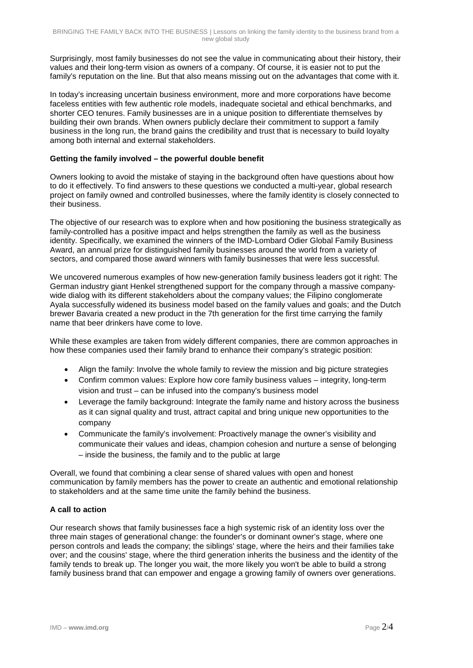Surprisingly, most family businesses do not see the value in communicating about their history, their values and their long-term vision as owners of a company. Of course, it is easier not to put the family's reputation on the line. But that also means missing out on the advantages that come with it.

In today's increasing uncertain business environment, more and more corporations have become faceless entities with few authentic role models, inadequate societal and ethical benchmarks, and shorter CEO tenures. Family businesses are in a unique position to differentiate themselves by building their own brands. When owners publicly declare their commitment to support a family business in the long run, the brand gains the credibility and trust that is necessary to build loyalty among both internal and external stakeholders.

## **Getting the family involved – the powerful double benefit**

Owners looking to avoid the mistake of staying in the background often have questions about how to do it effectively. To find answers to these questions we conducted a multi-year, global research project on family owned and controlled businesses, where the family identity is closely connected to their business.

The objective of our research was to explore when and how positioning the business strategically as family-controlled has a positive impact and helps strengthen the family as well as the business identity. Specifically, we examined the winners of the IMD-Lombard Odier Global Family Business Award, an annual prize for distinguished family businesses around the world from a variety of sectors, and compared those award winners with family businesses that were less successful.

We uncovered numerous examples of how new-generation family business leaders got it right: The German industry giant Henkel strengthened support for the company through a massive companywide dialog with its different stakeholders about the company values; the Filipino conglomerate Ayala successfully widened its business model based on the family values and goals; and the Dutch brewer Bavaria created a new product in the 7th generation for the first time carrying the family name that beer drinkers have come to love.

While these examples are taken from widely different companies, there are common approaches in how these companies used their family brand to enhance their company's strategic position:

- Align the family: Involve the whole family to review the mission and big picture strategies
- Confirm common values: Explore how core family business values integrity, long-term vision and trust – can be infused into the company's business model
- Leverage the family background: Integrate the family name and history across the business as it can signal quality and trust, attract capital and bring unique new opportunities to the company
- Communicate the family's involvement: Proactively manage the owner's visibility and communicate their values and ideas, champion cohesion and nurture a sense of belonging – inside the business, the family and to the public at large

Overall, we found that combining a clear sense of shared values with open and honest communication by family members has the power to create an authentic and emotional relationship to stakeholders and at the same time unite the family behind the business.

## **A call to action**

Our research shows that family businesses face a high systemic risk of an identity loss over the three main stages of generational change: the founder's or dominant owner's stage, where one person controls and leads the company; the siblings' stage, where the heirs and their families take over; and the cousins' stage, where the third generation inherits the business and the identity of the family tends to break up. The longer you wait, the more likely you won't be able to build a strong family business brand that can empower and engage a growing family of owners over generations.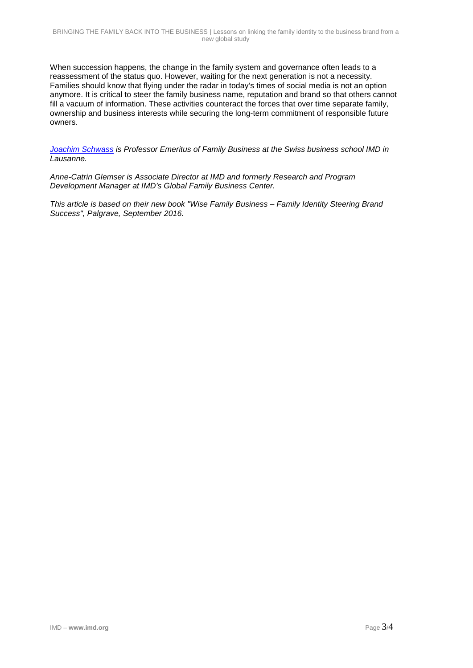When succession happens, the change in the family system and governance often leads to a reassessment of the status quo. However, waiting for the next generation is not a necessity. Families should know that flying under the radar in today's times of social media is not an option anymore. It is critical to steer the family business name, reputation and brand so that others cannot fill a vacuum of information. These activities counteract the forces that over time separate family, ownership and business interests while securing the long-term commitment of responsible future owners.

*[Joachim Schwass](http://www.imd.org/faculty/professors/joachim-schwass/) is Professor Emeritus of Family Business at the Swiss business school IMD in Lausanne.*

*Anne-Catrin Glemser is Associate Director at IMD and formerly Research and Program Development Manager at IMD's Global Family Business Center.*

*This article is based on their new book "Wise Family Business – Family Identity Steering Brand Success", Palgrave, September 2016.*